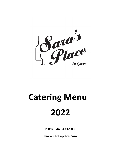

# **Catering Menu 2022**

**PHONE 440-423-1000**

**www.saras-place.com**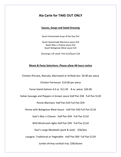# **Ala Carte for TAKE OUT ONLY**

### **Sauces, Soups and Salad Dressing**

Quart Homemade Soup of the Day \$14

Quart Homemade Marinara sauce \$18 Quart Mac n Cheese sauce \$22 Quart Bolognese Meat sauce \$22

Dressings ( GF avail) Pint \$12/Quart \$16

#### **Meats & Pasta Selections: Please allow 48 hours notice**

Chicken (Piccata, Marsala, Marinated or Grilled) 4oz- \$9.00 per piece Chicken Parmesan \$10.00 per piece Faroe Island Salmon 4.0 oz \$11.95 8 oz. piece- \$26.00 Italian Sausage and Peppers in brown sauce Half Pan \$58 Full Pan \$120 Penne Marinara Half Pan \$29 Full Pan \$59 Penne with Bolognese Meat Sauce- Half Pan \$50 Full Pan \$110 Gavi's Mac n Cheese- Half Pan \$49 Full Pan \$110 Wild Mushroom Aglio Half Pan \$49 Full Pan \$110 Gavi's Large Meatballs (pork & veal)- \$36/doz Lasagna- Traditional or Vegetable- Half Pan \$69 Full Pan \$129 Jumbo shrimp cocktail tray \$36/dozen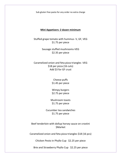Sub gluten free pasta for any order no extra charge

#### **Mini Appetizers: 2 dozen minimum**

Stuffed grape tomato with hummus- V, GF, VEG \$1.75 per piece

> Sausage stuffed mushrooms-VEG \$2.35 per piece

Caramelized onion and feta pizza triangles -VEG \$18 per pizza (16 cuts) Add \$3 for GF crust

> Cheese puffs \$1.45 per piece

> Wimpy burgers \$2.75 per piece

Mushroom toasts \$1.75 per piece

Cucumber tea sandwiches \$1.75 per piece

Beef tenderloin with dollup horsey sauce on crostini \$Market

Caramelized onion and feta pizza triangles \$18 (16 pcs)

Chicken Pesto in Phyllo Cup \$2.25 per piece

Brie and Strawberry Phyllo Cup \$2.25 per piece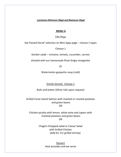#### **Luncheons Minimum 30ppl and Maximum 45ppl**

#### **MENU A**

\$36.95pp

See Passed Horsd' selection on Mini Apps page – choose 2 types

Choose 1

Garden salad – romaine, tomato, cucumber, carrots

drizzled with our homemade Pinot Grigio vinaigrette

Or

Watermelon gazpacho soup (cold)

Entrée Served: Choose 1

Rolls and butter (Gfree rolls upon request)

Grilled Faroe Island Salmon with mashed or roasted potatoes and green beans OR

Chicken picatta with lemon, white wine and capers with mashed potatoes and green beans OR

> Chagrin Chopped salad or Ceasar Salad with Grilled Chicken (Add \$3. For grilled shrimp)

> > Dessert Host provides and we serve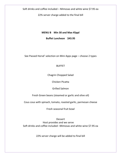Soft drinks and coffee included – Mimosas and white wine \$7.95 ea

22% server charge added to the final bill

# **MENU B Min 30 and Max 45ppl**

**Buffet Luncheon \$43.95**

See Passed Horsd' selection on Mini Apps page – choose 2 types

# **BUFFET**

Chagrin Chopped Salad

Chicken Picatta

Grilled Salmon

Fresh Green beans (steamed or garlic and olive oil)

Cous cous with spinach, tomato, roasted garlic, parmesan cheese

Fresh seasonal fruit bowl

Dessert Host provides and we serve Soft drinks and coffee included –Mimosas and white wine \$7.95 ea

22% server charge will be added to final bill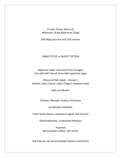Private Dinner Menu #1 Minimum 18 ppl Maximum 32ppl

\$43.00pp plus bar and 22% service

# FAMILY STYLE or BUFFET OPTION

Appetizer table: Assorted Pizza Triangles Can add add'l Horsd' from Mini appetizer page

Choice of Side Salad – choose 1 Garden salad, Ceasar salad, Chagrin chopped salad

Rolls and Butter

Chicken: Marsala, Picatta, Parmesan

Handmade meatballs

Fresh Green Beans, steamed or garlic and olive oil

Penne Marinara or Mashed Potatoes

Assorted Mini pastries coffee, soft drinks

Ask how we can accommodate dietary restrictions